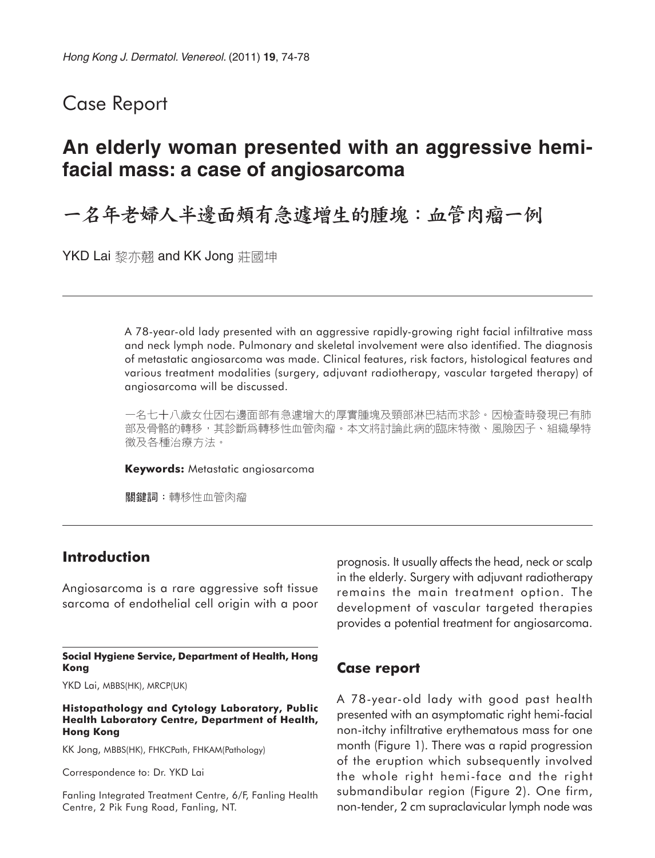## Case Report

# **An elderly woman presented with an aggressive hemifacial mass: a case of angiosarcoma**

一名年老婦人半邊面頰有急遽增生的腫塊:血管肉瘤一例

YKD Lai 黎亦翹 and KK Jong 莊國坤

A 78-year-old lady presented with an aggressive rapidly-growing right facial infiltrative mass and neck lymph node. Pulmonary and skeletal involvement were also identified. The diagnosis of metastatic angiosarcoma was made. Clinical features, risk factors, histological features and various treatment modalities (surgery, adjuvant radiotherapy, vascular targeted therapy) of angiosarcoma will be discussed.

一名七十八歲女仕因右邊面部有急遽增大的厚實腫塊及頸部淋巴結而求診。因檢查時發現已有肺 部及骨骼的轉移,其診斷爲轉移性血管肉瘤。本文將討論此病的臨床特徵、風險因子、組織學特 徵及各種治療方法。

**Keywords:** Metastatic angiosarcoma

關鍵詞:轉移性血管肉瘤

### **Introduction**

Angiosarcoma is a rare aggressive soft tissue sarcoma of endothelial cell origin with a poor

**Social Hygiene Service, Department of Health, Hong Kong**

YKD Lai, MBBS(HK), MRCP(UK)

**Histopathology and Cytology Laboratory, Public Health Laboratory Centre, Department of Health, Hong Kong**

KK Jong, MBBS(HK), FHKCPath, FHKAM(Pathology)

Correspondence to: Dr. YKD Lai

Fanling Integrated Treatment Centre, 6/F, Fanling Health Centre, 2 Pik Fung Road, Fanling, NT.

prognosis. It usually affects the head, neck or scalp in the elderly. Surgery with adjuvant radiotherapy remains the main treatment option. The development of vascular targeted therapies provides a potential treatment for angiosarcoma.

#### **Case report**

A 78-year-old lady with good past health presented with an asymptomatic right hemi-facial non-itchy infiltrative erythematous mass for one month (Figure 1). There was a rapid progression of the eruption which subsequently involved the whole right hemi-face and the right submandibular region (Figure 2). One firm, non-tender, 2 cm supraclavicular lymph node was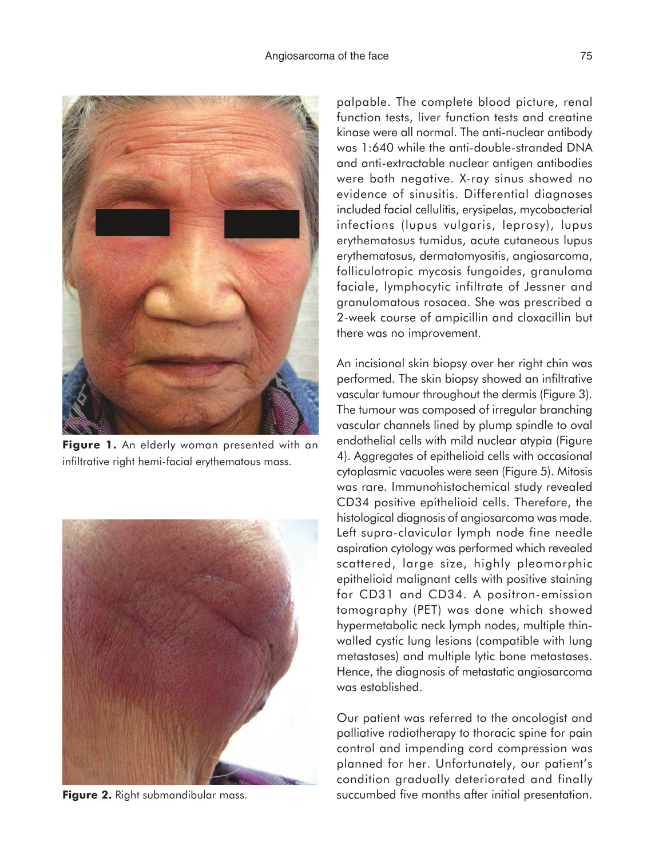

**Figure 1.** An elderly woman presented with an infiltrative right hemi-facial erythematous mass.



**Figure 2.** Right submandibular mass.

palpable. The complete blood picture, renal function tests, liver function tests and creatine kinase were all normal. The anti-nuclear antibody was 1:640 while the anti-double-stranded DNA and anti-extractable nuclear antigen antibodies were both negative. X-ray sinus showed no evidence of sinusitis. Differential diagnoses included facial cellulitis, erysipelas, mycobacterial infections (lupus vulgaris, leprosy), lupus erythematosus tumidus, acute cutaneous lupus erythematosus, dermatomyositis, angiosarcoma, folliculotropic mycosis fungoides, granuloma faciale, lymphocytic infiltrate of Jessner and granulomatous rosacea. She was prescribed a 2-week course of ampicillin and cloxacillin but there was no improvement.

An incisional skin biopsy over her right chin was performed. The skin biopsy showed an infiltrative vascular tumour throughout the dermis (Figure 3). The tumour was composed of irregular branching vascular channels lined by plump spindle to oval endothelial cells with mild nuclear atypia (Figure 4). Aggregates of epithelioid cells with occasional cytoplasmic vacuoles were seen (Figure 5). Mitosis was rare. Immunohistochemical study revealed CD34 positive epithelioid cells. Therefore, the histological diagnosis of angiosarcoma was made. Left supra-clavicular lymph node fine needle aspiration cytology was performed which revealed scattered, large size, highly pleomorphic epithelioid malignant cells with positive staining for CD31 and CD34. A positron-emission tomography (PET) was done which showed hypermetabolic neck lymph nodes, multiple thinwalled cystic lung lesions (compatible with lung metastases) and multiple lytic bone metastases. Hence, the diagnosis of metastatic angiosarcoma was established.

Our patient was referred to the oncologist and palliative radiotherapy to thoracic spine for pain control and impending cord compression was planned for her. Unfortunately, our patient's condition gradually deteriorated and finally succumbed five months after initial presentation.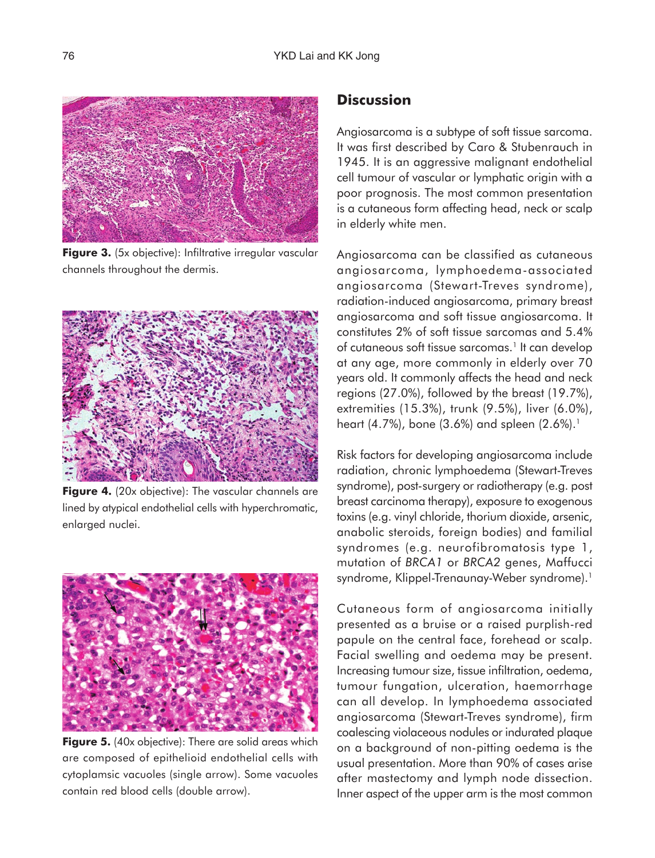

**Figure 3.** (5x objective): Infiltrative irregular vascular channels throughout the dermis.



**Figure 4.** (20x objective): The vascular channels are lined by atypical endothelial cells with hyperchromatic, enlarged nuclei.



**Figure 5.** (40x objective): There are solid areas which are composed of epithelioid endothelial cells with cytoplamsic vacuoles (single arrow). Some vacuoles contain red blood cells (double arrow).

## **Discussion**

Angiosarcoma is a subtype of soft tissue sarcoma. It was first described by Caro & Stubenrauch in 1945. It is an aggressive malignant endothelial cell tumour of vascular or lymphatic origin with a poor prognosis. The most common presentation is a cutaneous form affecting head, neck or scalp in elderly white men.

Angiosarcoma can be classified as cutaneous angiosarcoma, lymphoedema-associated angiosarcoma (Stewart-Treves syndrome), radiation-induced angiosarcoma, primary breast angiosarcoma and soft tissue angiosarcoma. It constitutes 2% of soft tissue sarcomas and 5.4% of cutaneous soft tissue sarcomas.<sup>1</sup> It can develop at any age, more commonly in elderly over 70 years old. It commonly affects the head and neck regions (27.0%), followed by the breast (19.7%), extremities (15.3%), trunk (9.5%), liver (6.0%), heart (4.7%), bone (3.6%) and spleen  $(2.6\%)$ .<sup>1</sup>

Risk factors for developing angiosarcoma include radiation, chronic lymphoedema (Stewart-Treves syndrome), post-surgery or radiotherapy (e.g. post breast carcinoma therapy), exposure to exogenous toxins (e.g. vinyl chloride, thorium dioxide, arsenic, anabolic steroids, foreign bodies) and familial syndromes (e.g. neurofibromatosis type 1, mutation of *BRCA1* or *BRCA2* genes, Maffucci syndrome, Klippel-Trenaunay-Weber syndrome).<sup>1</sup>

Cutaneous form of angiosarcoma initially presented as a bruise or a raised purplish-red papule on the central face, forehead or scalp. Facial swelling and oedema may be present. Increasing tumour size, tissue infiltration, oedema, tumour fungation, ulceration, haemorrhage can all develop. In lymphoedema associated angiosarcoma (Stewart-Treves syndrome), firm coalescing violaceous nodules or indurated plaque on a background of non-pitting oedema is the usual presentation. More than 90% of cases arise after mastectomy and lymph node dissection. Inner aspect of the upper arm is the most common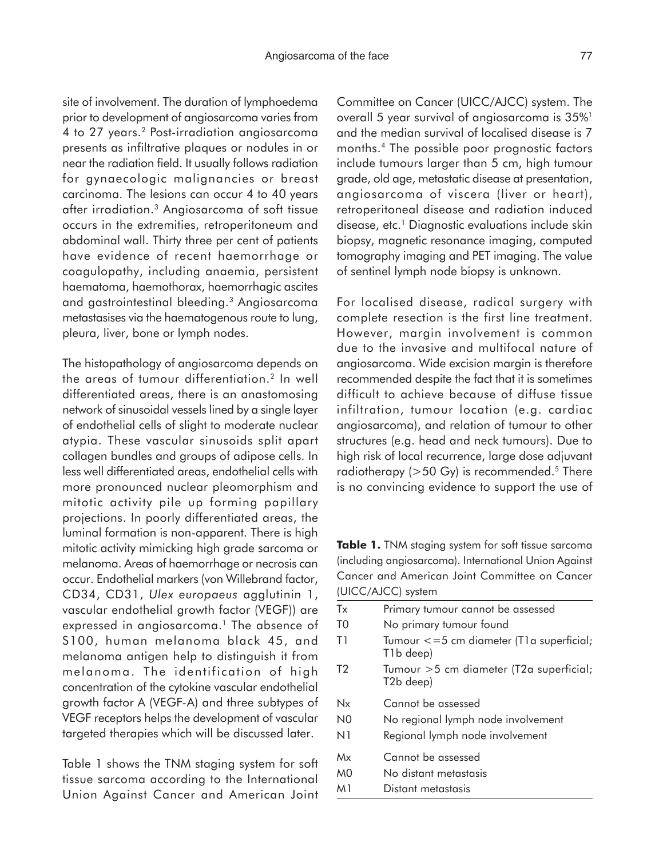site of involvement. The duration of lymphoedema prior to development of angiosarcoma varies from 4 to 27 years.2 Post-irradiation angiosarcoma presents as infiltrative plaques or nodules in or near the radiation field. It usually follows radiation for gynaecologic malignancies or breast carcinoma. The lesions can occur 4 to 40 years after irradiation.3 Angiosarcoma of soft tissue occurs in the extremities, retroperitoneum and abdominal wall. Thirty three per cent of patients have evidence of recent haemorrhage or coagulopathy, including anaemia, persistent haematoma, haemothorax, haemorrhagic ascites and gastrointestinal bleeding.3 Angiosarcoma metastasises via the haematogenous route to lung, pleura, liver, bone or lymph nodes.

The histopathology of angiosarcoma depends on the areas of tumour differentiation.2 In well differentiated areas, there is an anastomosing network of sinusoidal vessels lined by a single layer of endothelial cells of slight to moderate nuclear atypia. These vascular sinusoids split apart collagen bundles and groups of adipose cells. In less well differentiated areas, endothelial cells with more pronounced nuclear pleomorphism and mitotic activity pile up forming papillary projections. In poorly differentiated areas, the luminal formation is non-apparent. There is high mitotic activity mimicking high grade sarcoma or melanoma. Areas of haemorrhage or necrosis can occur. Endothelial markers (von Willebrand factor, CD34, CD31, *Ulex europaeus* agglutinin 1, vascular endothelial growth factor (VEGF)) are expressed in angiosarcoma.<sup>1</sup> The absence of S100, human melanoma black 45, and melanoma antigen help to distinguish it from melanoma. The identification of high concentration of the cytokine vascular endothelial growth factor A (VEGF-A) and three subtypes of VEGF receptors helps the development of vascular targeted therapies which will be discussed later.

Table 1 shows the TNM staging system for soft tissue sarcoma according to the International Union Against Cancer and American Joint

Committee on Cancer (UICC/AJCC) system. The overall 5 year survival of angiosarcoma is 35%<sup>1</sup> and the median survival of localised disease is 7 months.4 The possible poor prognostic factors include tumours larger than 5 cm, high tumour grade, old age, metastatic disease at presentation, angiosarcoma of viscera (liver or heart), retroperitoneal disease and radiation induced disease, etc.<sup>1</sup> Diagnostic evaluations include skin biopsy, magnetic resonance imaging, computed tomography imaging and PET imaging. The value of sentinel lymph node biopsy is unknown.

For localised disease, radical surgery with complete resection is the first line treatment. However, margin involvement is common due to the invasive and multifocal nature of angiosarcoma. Wide excision margin is therefore recommended despite the fact that it is sometimes difficult to achieve because of diffuse tissue infiltration, tumour location (e.g. cardiac angiosarcoma), and relation of tumour to other structures (e.g. head and neck tumours). Due to high risk of local recurrence, large dose adjuvant radiotherapy ( $>50$  Gy) is recommended.<sup>5</sup> There is no convincing evidence to support the use of

**Table 1.** TNM staging system for soft tissue sarcoma (including angiosarcoma). International Union Against Cancer and American Joint Committee on Cancer (UICC/AJCC) system

| Tx             | Primary tumour cannot be assessed                                |
|----------------|------------------------------------------------------------------|
| T0             | No primary tumour found                                          |
| T1             | Tumour $\epsilon = 5$ cm diameter (T1a superficial;<br>T1b deep) |
| T <sub>2</sub> | Tumour >5 cm diameter (T2a superficial;<br>T2b deep)             |
| Nx             | Cannot be assessed                                               |
| N <sub>0</sub> | No regional lymph node involvement                               |
| N1             | Regional lymph node involvement                                  |
| Mx             | Cannot be assessed                                               |
| <sub>M0</sub>  | No distant metastasis                                            |
| M1             | Distant metastasis                                               |